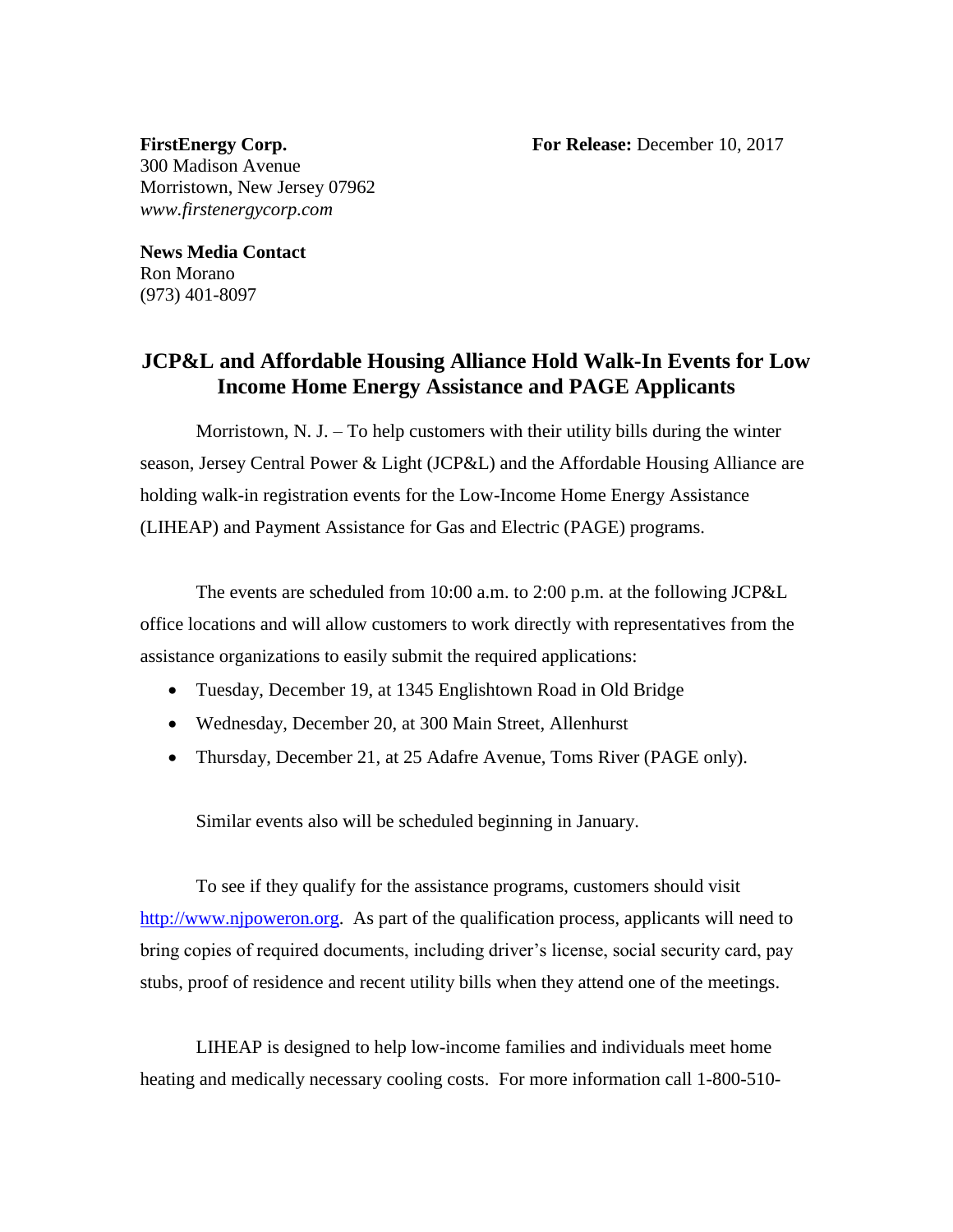**FirstEnergy Corp. For Release:** December 10, 2017

300 Madison Avenue Morristown, New Jersey 07962 *www.firstenergycorp.com*

**News Media Contact** Ron Morano (973) 401-8097

## **JCP&L and Affordable Housing Alliance Hold Walk-In Events for Low Income Home Energy Assistance and PAGE Applicants**

Morristown, N. J. – To help customers with their utility bills during the winter season, Jersey Central Power & Light (JCP&L) and the Affordable Housing Alliance are holding walk-in registration events for the Low-Income Home Energy Assistance (LIHEAP) and Payment Assistance for Gas and Electric (PAGE) programs.

The events are scheduled from 10:00 a.m. to 2:00 p.m. at the following JCP&L office locations and will allow customers to work directly with representatives from the assistance organizations to easily submit the required applications:

- Tuesday, December 19, at 1345 Englishtown Road in Old Bridge
- Wednesday, December 20, at 300 Main Street, Allenhurst
- Thursday, December 21, at 25 Adafre Avenue, Toms River (PAGE only).

Similar events also will be scheduled beginning in January.

To see if they qualify for the assistance programs, customers should visit [http://www.njpoweron.org.](http://www.njpoweron.org/) As part of the qualification process, applicants will need to bring copies of required documents, including driver's license, social security card, pay stubs, proof of residence and recent utility bills when they attend one of the meetings.

LIHEAP is designed to help low-income families and individuals meet home heating and medically necessary cooling costs. For more information call 1-800-510